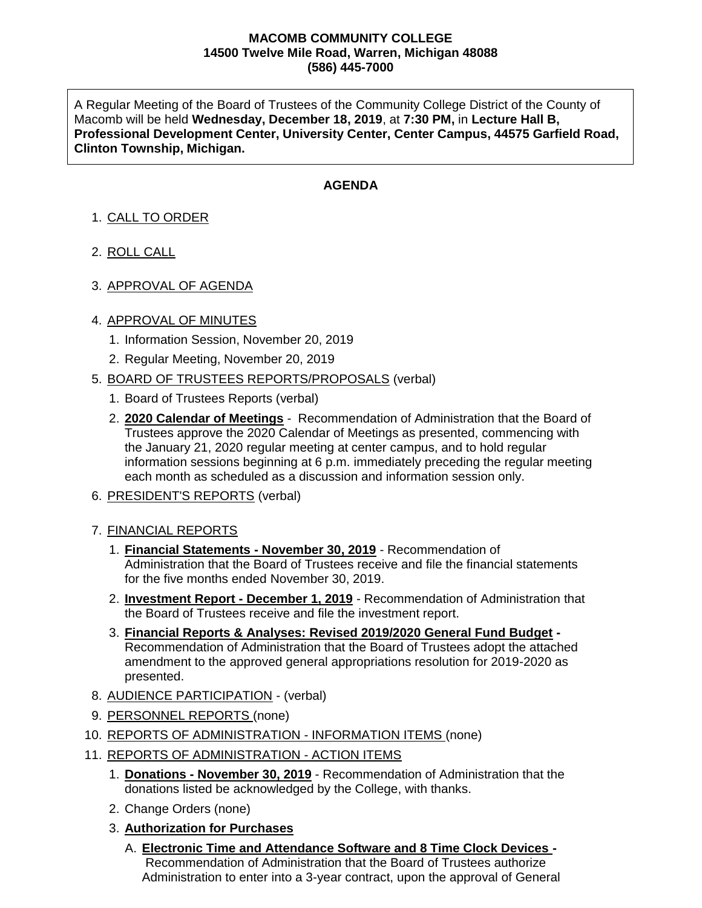#### **MACOMB COMMUNITY COLLEGE 14500 Twelve Mile Road, Warren, Michigan 48088 (586) 445-7000**

A Regular Meeting of the Board of Trustees of the Community College District of the County of Macomb will be held **Wednesday, December 18, 2019**, at **7:30 PM,** in **Lecture Hall B, Professional Development Center, University Center, Center Campus, 44575 Garfield Road, Clinton Township, Michigan.**

## **AGENDA**

# 1. CALL TO ORDER

- 2. ROLL CALL
- 3. APPROVAL OF AGENDA

### 4. APPROVAL OF MINUTES

- 1. Information Session, November 20, 2019
- 2. Regular Meeting, November 20, 2019

### 5. BOARD OF TRUSTEES REPORTS/PROPOSALS (verbal)

- 1. Board of Trustees Reports (verbal)
- 2. **2020 Calendar of Meetings** Recommendation of Administration that the Board of Trustees approve the 2020 Calendar of Meetings as presented, commencing with the January 21, 2020 regular meeting at center campus, and to hold regular information sessions beginning at 6 p.m. immediately preceding the regular meeting each month as scheduled as a discussion and information session only.
- 6. PRESIDENT'S REPORTS (verbal)

### 7. FINANCIAL REPORTS

- 1. **Financial Statements - November 30, 2019** Recommendation of Administration that the Board of Trustees receive and file the financial statements for the five months ended November 30, 2019.
- 2. **Investment Report - December 1, 2019** Recommendation of Administration that the Board of Trustees receive and file the investment report.
- 3. **Financial Reports & Analyses: Revised 2019/2020 General Fund Budget -** Recommendation of Administration that the Board of Trustees adopt the attached amendment to the approved general appropriations resolution for 2019-2020 as presented.
- 8. AUDIENCE PARTICIPATION (verbal)
- 9. PERSONNEL REPORTS (none)
- 10. REPORTS OF ADMINISTRATION INFORMATION ITEMS (none)
- 11. REPORTS OF ADMINISTRATION ACTION ITEMS
	- 1. **Donations - November 30, 2019** Recommendation of Administration that the donations listed be acknowledged by the College, with thanks.
	- 2. Change Orders (none)
	- 3. **Authorization for Purchases**
		- A. **Electronic Time and Attendance Software and 8 Time Clock Devices -** Recommendation of Administration that the Board of Trustees authorize Administration to enter into a 3-year contract, upon the approval of General